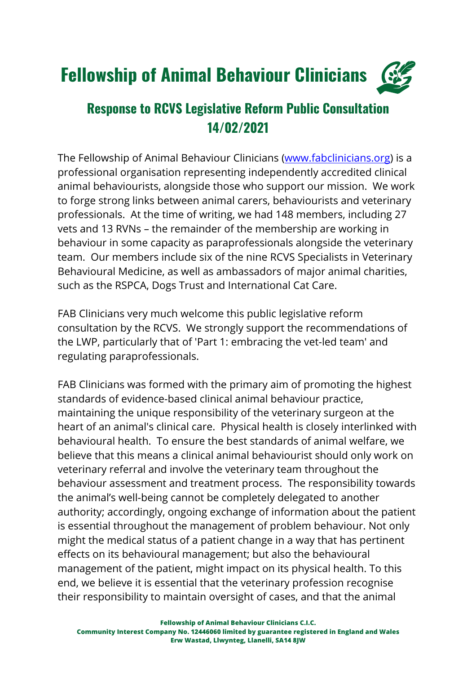## Fellowship of Animal Behaviour Clinicians



## **Response to RCVS Legislative Reform Public Consultation 14/02/2021**

The Fellowship of Animal Behaviour Clinicians (www.fabclinicians.org) is a professional organisation representing independently accredited clinical animal behaviourists, alongside those who support our mission. We work to forge strong links between animal carers, behaviourists and veterinary professionals. At the time of writing, we had 148 members, including 27 vets and 13 RVNs – the remainder of the membership are working in behaviour in some capacity as paraprofessionals alongside the veterinary team. Our members include six of the nine RCVS Specialists in Veterinary Behavioural Medicine, as well as ambassadors of major animal charities, such as the RSPCA, Dogs Trust and International Cat Care.

FAB Clinicians very much welcome this public legislative reform consultation by the RCVS. We strongly support the recommendations of the LWP, particularly that of 'Part 1: embracing the vet-led team' and regulating paraprofessionals.

FAB Clinicians was formed with the primary aim of promoting the highest standards of evidence-based clinical animal behaviour practice, maintaining the unique responsibility of the veterinary surgeon at the heart of an animal's clinical care. Physical health is closely interlinked with behavioural health. To ensure the best standards of animal welfare, we believe that this means a clinical animal behaviourist should only work on veterinary referral and involve the veterinary team throughout the behaviour assessment and treatment process. The responsibility towards the animal's well-being cannot be completely delegated to another authority; accordingly, ongoing exchange of information about the patient is essential throughout the management of problem behaviour. Not only might the medical status of a patient change in a way that has pertinent effects on its behavioural management; but also the behavioural management of the patient, might impact on its physical health. To this end, we believe it is essential that the veterinary profession recognise their responsibility to maintain oversight of cases, and that the animal